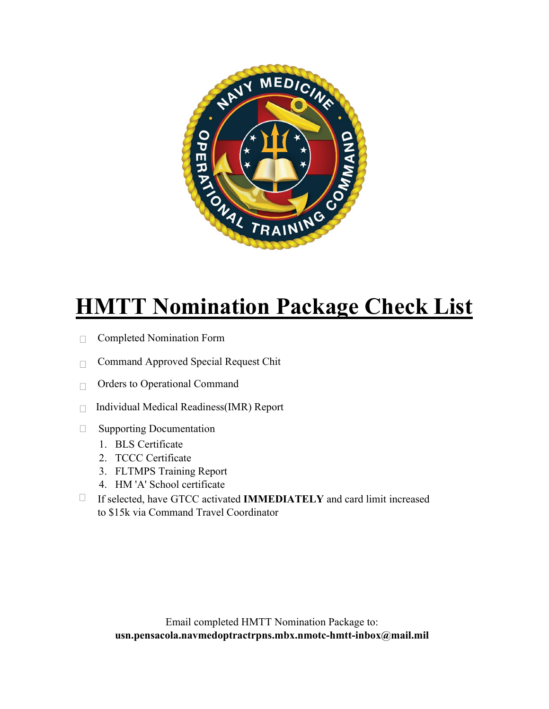

## **HMTT Nomination Package Check List**

- □ Completed Nomination Form
- $\Box$  Command Approved Special Request Chit
- □ Orders to Operational Command
- $\Box$  Individual Medical Readiness(IMR) Report
- □ Supporting Documentation
	- 1. BLS Certificate
	- 2. TCCC Certificate
	- 3. FLTMPS Training Report
	- 4. HM 'A' School certificate
- If selected, have GTCC activated **IMMEDIATELY** and card limit increased to \$15k via Command Travel Coordinator  $\Box$